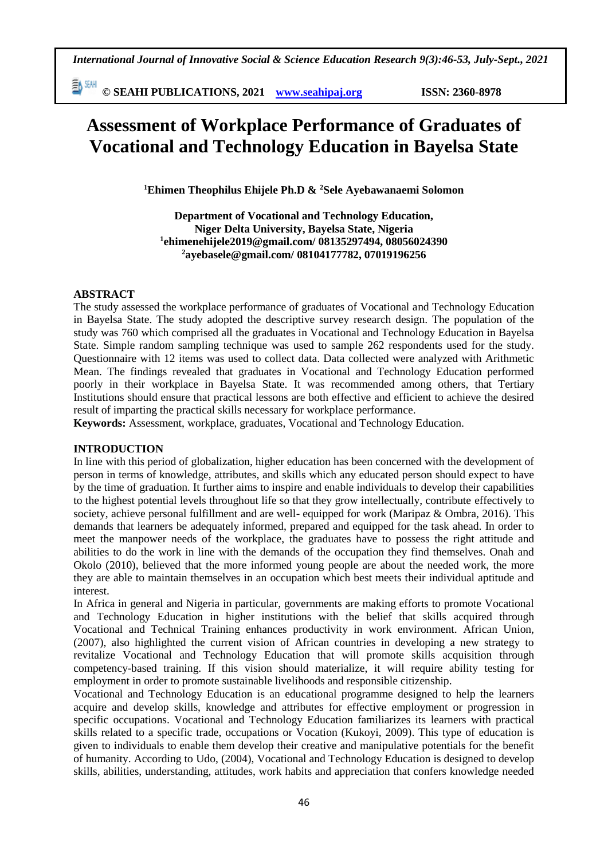勤酬 **© SEAHI PUBLICATIONS, 2021 [www.seahipaj.org](http://www.seahipaj.org/) ISSN: 2360-8978**

# **Assessment of Workplace Performance of Graduates of Vocational and Technology Education in Bayelsa State**

**<sup>1</sup>Ehimen Theophilus Ehijele Ph.D & <sup>2</sup>Sele Ayebawanaemi Solomon**

**Department of Vocational and Technology Education, Niger Delta University, Bayelsa State, Nigeria 1 [ehimenehijele2019@gmail.com/](mailto:ehimenehijele2019@gmail.com/) 08135297494, 08056024390 <sup>2</sup>[ayebasele@gmail.com/](mailto:ayebasele@gmail.com/) 08104177782, 07019196256**

#### **ABSTRACT**

The study assessed the workplace performance of graduates of Vocational and Technology Education in Bayelsa State. The study adopted the descriptive survey research design. The population of the study was 760 which comprised all the graduates in Vocational and Technology Education in Bayelsa State. Simple random sampling technique was used to sample 262 respondents used for the study. Questionnaire with 12 items was used to collect data. Data collected were analyzed with Arithmetic Mean. The findings revealed that graduates in Vocational and Technology Education performed poorly in their workplace in Bayelsa State. It was recommended among others, that Tertiary Institutions should ensure that practical lessons are both effective and efficient to achieve the desired result of imparting the practical skills necessary for workplace performance.

**Keywords:** Assessment, workplace, graduates, Vocational and Technology Education.

#### **INTRODUCTION**

In line with this period of globalization, higher education has been concerned with the development of person in terms of knowledge, attributes, and skills which any educated person should expect to have by the time of graduation. It further aims to inspire and enable individuals to develop their capabilities to the highest potential levels throughout life so that they grow intellectually, contribute effectively to society, achieve personal fulfillment and are well- equipped for work (Maripaz & Ombra, 2016). This demands that learners be adequately informed, prepared and equipped for the task ahead. In order to meet the manpower needs of the workplace, the graduates have to possess the right attitude and abilities to do the work in line with the demands of the occupation they find themselves. Onah and Okolo (2010), believed that the more informed young people are about the needed work, the more they are able to maintain themselves in an occupation which best meets their individual aptitude and interest.

In Africa in general and Nigeria in particular, governments are making efforts to promote Vocational and Technology Education in higher institutions with the belief that skills acquired through Vocational and Technical Training enhances productivity in work environment. African Union, (2007), also highlighted the current vision of African countries in developing a new strategy to revitalize Vocational and Technology Education that will promote skills acquisition through competency-based training. If this vision should materialize, it will require ability testing for employment in order to promote sustainable livelihoods and responsible citizenship.

Vocational and Technology Education is an educational programme designed to help the learners acquire and develop skills, knowledge and attributes for effective employment or progression in specific occupations. Vocational and Technology Education familiarizes its learners with practical skills related to a specific trade, occupations or Vocation (Kukoyi, 2009). This type of education is given to individuals to enable them develop their creative and manipulative potentials for the benefit of humanity. According to Udo, (2004), Vocational and Technology Education is designed to develop skills, abilities, understanding, attitudes, work habits and appreciation that confers knowledge needed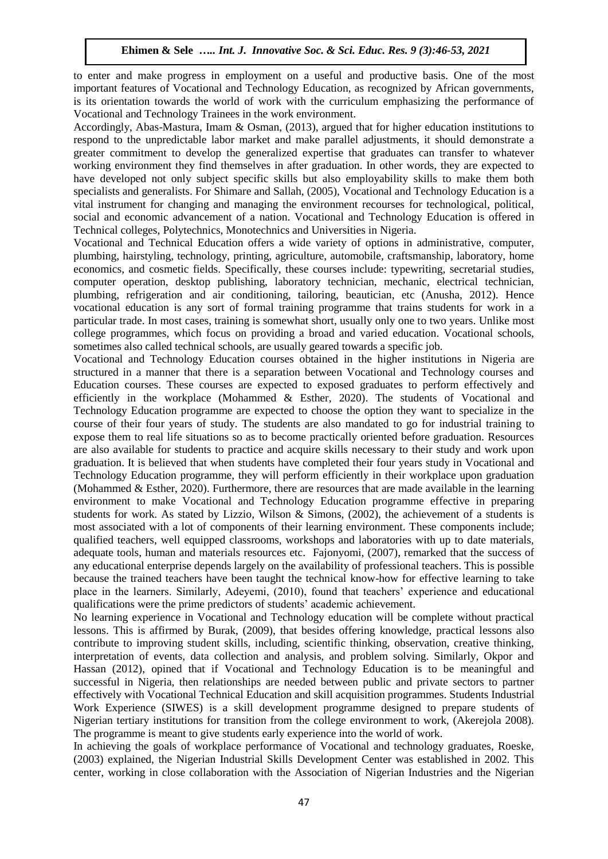to enter and make progress in employment on a useful and productive basis. One of the most important features of Vocational and Technology Education, as recognized by African governments, is its orientation towards the world of work with the curriculum emphasizing the performance of Vocational and Technology Trainees in the work environment.

Accordingly, Abas-Mastura, Imam & Osman, (2013), argued that for higher education institutions to respond to the unpredictable labor market and make parallel adjustments, it should demonstrate a greater commitment to develop the generalized expertise that graduates can transfer to whatever working environment they find themselves in after graduation. In other words, they are expected to have developed not only subject specific skills but also employability skills to make them both specialists and generalists. For Shimare and Sallah, (2005), Vocational and Technology Education is a vital instrument for changing and managing the environment recourses for technological, political, social and economic advancement of a nation. Vocational and Technology Education is offered in Technical colleges, Polytechnics, Monotechnics and Universities in Nigeria.

Vocational and Technical Education offers a wide variety of options in administrative, computer, plumbing, hairstyling, technology, printing, agriculture, automobile, craftsmanship, laboratory, home economics, and cosmetic fields. Specifically, these courses include: typewriting, secretarial studies, computer operation, desktop publishing, laboratory technician, mechanic, electrical technician, plumbing, refrigeration and air conditioning, tailoring, beautician, etc (Anusha, 2012). Hence vocational education is any sort of formal training programme that trains students for work in a particular trade. In most cases, training is somewhat short, usually only one to two years. Unlike most college programmes, which focus on providing a broad and varied education. Vocational schools, sometimes also called technical schools, are usually geared towards a specific job.

Vocational and Technology Education courses obtained in the higher institutions in Nigeria are structured in a manner that there is a separation between Vocational and Technology courses and Education courses. These courses are expected to exposed graduates to perform effectively and efficiently in the workplace (Mohammed & Esther, 2020). The students of Vocational and Technology Education programme are expected to choose the option they want to specialize in the course of their four years of study. The students are also mandated to go for industrial training to expose them to real life situations so as to become practically oriented before graduation. Resources are also available for students to practice and acquire skills necessary to their study and work upon graduation. It is believed that when students have completed their four years study in Vocational and Technology Education programme, they will perform efficiently in their workplace upon graduation (Mohammed & Esther, 2020). Furthermore, there are resources that are made available in the learning environment to make Vocational and Technology Education programme effective in preparing students for work. As stated by Lizzio, Wilson & Simons, (2002), the achievement of a students is most associated with a lot of components of their learning environment. These components include; qualified teachers, well equipped classrooms, workshops and laboratories with up to date materials, adequate tools, human and materials resources etc. Fajonyomi, (2007), remarked that the success of any educational enterprise depends largely on the availability of professional teachers. This is possible because the trained teachers have been taught the technical know-how for effective learning to take place in the learners. Similarly, Adeyemi, (2010), found that teachers' experience and educational qualifications were the prime predictors of students' academic achievement.

No learning experience in Vocational and Technology education will be complete without practical lessons. This is affirmed by Burak, (2009), that besides offering knowledge, practical lessons also contribute to improving student skills, including, scientific thinking, observation, creative thinking, interpretation of events, data collection and analysis, and problem solving. Similarly, Okpor and Hassan (2012), opined that if Vocational and Technology Education is to be meaningful and successful in Nigeria, then relationships are needed between public and private sectors to partner effectively with Vocational Technical Education and skill acquisition programmes. Students Industrial Work Experience (SIWES) is a skill development programme designed to prepare students of Nigerian tertiary institutions for transition from the college environment to work, (Akerejola 2008). The programme is meant to give students early experience into the world of work.

In achieving the goals of workplace performance of Vocational and technology graduates, Roeske, (2003) explained, the Nigerian Industrial Skills Development Center was established in 2002. This center, working in close collaboration with the Association of Nigerian Industries and the Nigerian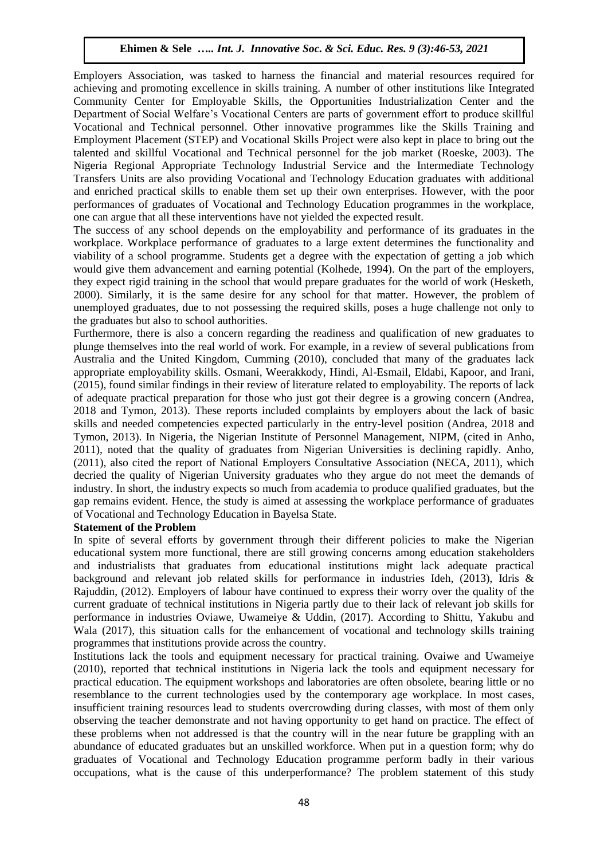Employers Association, was tasked to harness the financial and material resources required for achieving and promoting excellence in skills training. A number of other institutions like Integrated Community Center for Employable Skills, the Opportunities Industrialization Center and the Department of Social Welfare's Vocational Centers are parts of government effort to produce skillful Vocational and Technical personnel. Other innovative programmes like the Skills Training and Employment Placement (STEP) and Vocational Skills Project were also kept in place to bring out the talented and skillful Vocational and Technical personnel for the job market (Roeske, 2003). The Nigeria Regional Appropriate Technology Industrial Service and the Intermediate Technology Transfers Units are also providing Vocational and Technology Education graduates with additional and enriched practical skills to enable them set up their own enterprises. However, with the poor performances of graduates of Vocational and Technology Education programmes in the workplace, one can argue that all these interventions have not yielded the expected result.

The success of any school depends on the employability and performance of its graduates in the workplace. Workplace performance of graduates to a large extent determines the functionality and viability of a school programme. Students get a degree with the expectation of getting a job which would give them advancement and earning potential (Kolhede, 1994). On the part of the employers, they expect rigid training in the school that would prepare graduates for the world of work (Hesketh, 2000). Similarly, it is the same desire for any school for that matter. However, the problem of unemployed graduates, due to not possessing the required skills, poses a huge challenge not only to the graduates but also to school authorities.

Furthermore, there is also a concern regarding the readiness and qualification of new graduates to plunge themselves into the real world of work. For example, in a review of several publications from Australia and the United Kingdom, Cumming (2010), concluded that many of the graduates lack appropriate employability skills. Osmani, Weerakkody, Hindi, Al-Esmail, Eldabi, Kapoor, and Irani, (2015), found similar findings in their review of literature related to employability. The reports of lack of adequate practical preparation for those who just got their degree is a growing concern (Andrea, 2018 and Tymon, 2013). These reports included complaints by employers about the lack of basic skills and needed competencies expected particularly in the entry-level position (Andrea, 2018 and Tymon, 2013). In Nigeria, the Nigerian Institute of Personnel Management, NIPM, (cited in Anho, 2011), noted that the quality of graduates from Nigerian Universities is declining rapidly. Anho, (2011), also cited the report of National Employers Consultative Association (NECA, 2011), which decried the quality of Nigerian University graduates who they argue do not meet the demands of industry. In short, the industry expects so much from academia to produce qualified graduates, but the gap remains evident. Hence, the study is aimed at assessing the workplace performance of graduates of Vocational and Technology Education in Bayelsa State.

#### **Statement of the Problem**

In spite of several efforts by government through their different policies to make the Nigerian educational system more functional, there are still growing concerns among education stakeholders and industrialists that graduates from educational institutions might lack adequate practical background and relevant job related skills for performance in industries Ideh, (2013), Idris & Rajuddin, (2012). Employers of labour have continued to express their worry over the quality of the current graduate of technical institutions in Nigeria partly due to their lack of relevant job skills for performance in industries Oviawe, Uwameiye & Uddin, (2017). According to Shittu, Yakubu and Wala (2017), this situation calls for the enhancement of vocational and technology skills training programmes that institutions provide across the country.

Institutions lack the tools and equipment necessary for practical training. Ovaiwe and Uwameiye (2010), reported that technical institutions in Nigeria lack the tools and equipment necessary for practical education. The equipment workshops and laboratories are often obsolete, bearing little or no resemblance to the current technologies used by the contemporary age workplace. In most cases, insufficient training resources lead to students overcrowding during classes, with most of them only observing the teacher demonstrate and not having opportunity to get hand on practice. The effect of these problems when not addressed is that the country will in the near future be grappling with an abundance of educated graduates but an unskilled workforce. When put in a question form; why do graduates of Vocational and Technology Education programme perform badly in their various occupations, what is the cause of this underperformance? The problem statement of this study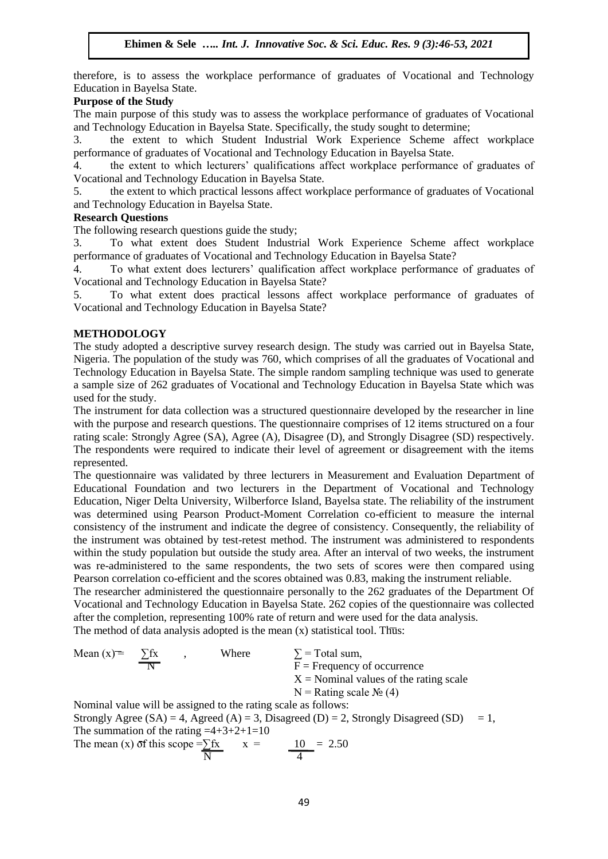therefore, is to assess the workplace performance of graduates of Vocational and Technology Education in Bayelsa State.

# **Purpose of the Study**

The main purpose of this study was to assess the workplace performance of graduates of Vocational and Technology Education in Bayelsa State. Specifically, the study sought to determine;

3. the extent to which Student Industrial Work Experience Scheme affect workplace performance of graduates of Vocational and Technology Education in Bayelsa State.

4. the extent to which lecturers' qualifications affect workplace performance of graduates of Vocational and Technology Education in Bayelsa State.

5. the extent to which practical lessons affect workplace performance of graduates of Vocational and Technology Education in Bayelsa State.

#### **Research Questions**

The following research questions guide the study;

3. To what extent does Student Industrial Work Experience Scheme affect workplace performance of graduates of Vocational and Technology Education in Bayelsa State?

4. To what extent does lecturers' qualification affect workplace performance of graduates of Vocational and Technology Education in Bayelsa State?

5. To what extent does practical lessons affect workplace performance of graduates of Vocational and Technology Education in Bayelsa State?

# **METHODOLOGY**

The study adopted a descriptive survey research design. The study was carried out in Bayelsa State, Nigeria. The population of the study was 760, which comprises of all the graduates of Vocational and Technology Education in Bayelsa State. The simple random sampling technique was used to generate a sample size of 262 graduates of Vocational and Technology Education in Bayelsa State which was used for the study.

The instrument for data collection was a structured questionnaire developed by the researcher in line with the purpose and research questions. The questionnaire comprises of 12 items structured on a four rating scale: Strongly Agree (SA), Agree (A), Disagree (D), and Strongly Disagree (SD) respectively. The respondents were required to indicate their level of agreement or disagreement with the items represented.

The questionnaire was validated by three lecturers in Measurement and Evaluation Department of Educational Foundation and two lecturers in the Department of Vocational and Technology Education, Niger Delta University, Wilberforce Island, Bayelsa state. The reliability of the instrument was determined using Pearson Product-Moment Correlation co-efficient to measure the internal consistency of the instrument and indicate the degree of consistency. Consequently, the reliability of the instrument was obtained by test-retest method. The instrument was administered to respondents within the study population but outside the study area. After an interval of two weeks, the instrument was re-administered to the same respondents, the two sets of scores were then compared using Pearson correlation co-efficient and the scores obtained was 0.83, making the instrument reliable.

The researcher administered the questionnaire personally to the 262 graduates of the Department Of Vocational and Technology Education in Bayelsa State. 262 copies of the questionnaire was collected after the completion, representing 100% rate of return and were used for the data analysis. The method of data analysis adopted is the mean  $(x)$  statistical tool. Thus:

Mean (x) =  $\Sigma$ fx , Where  $\Sigma$  = Total sum,  $\overline{F}$  = Frequency of occurrence  $X =$  Nominal values of the rating scale  $N =$ Rating scale  $\mathcal{N}_2$  (4) Nominal value will be assigned to the rating scale as follows: Strongly Agree (SA) = 4, Agreed (A) = 3, Disagreed (D) = 2, Strongly Disagreed (SD) = 1,

The summation of the rating  $=4+3+2+1=10$ The mean (x) of this scope = $\sum fx$   $x = 10 = 2.50$  $\overline{N}$  4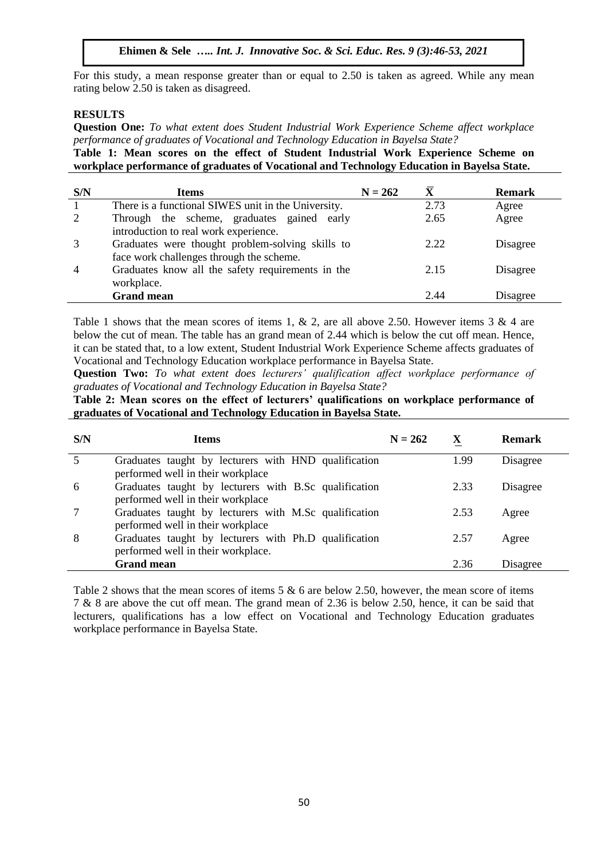For this study, a mean response greater than or equal to 2.50 is taken as agreed. While any mean rating below 2.50 is taken as disagreed.

# **RESULTS**

**Question One:** *To what extent does Student Industrial Work Experience Scheme affect workplace performance of graduates of Vocational and Technology Education in Bayelsa State?*

**Table 1: Mean scores on the effect of Student Industrial Work Experience Scheme on workplace performance of graduates of Vocational and Technology Education in Bayelsa State.**

| S/N            | <b>Items</b>                                        | $N = 262$ | $\bar{\textbf{X}}$ | <b>Remark</b> |
|----------------|-----------------------------------------------------|-----------|--------------------|---------------|
|                | There is a functional SIWES unit in the University. |           | 2.73               | Agree         |
| 2              | Through the scheme, graduates gained early          |           | 2.65               | Agree         |
|                | introduction to real work experience.               |           |                    |               |
|                | Graduates were thought problem-solving skills to    |           | 2.22               | Disagree      |
|                | face work challenges through the scheme.            |           |                    |               |
| $\overline{4}$ | Graduates know all the safety requirements in the   |           | 2.15               | Disagree      |
|                | workplace.                                          |           |                    |               |
|                | <b>Grand mean</b>                                   |           | 2.44               | Disagree      |

Table 1 shows that the mean scores of items 1, & 2, are all above 2.50. However items 3 & 4 are below the cut of mean. The table has an grand mean of 2.44 which is below the cut off mean. Hence, it can be stated that, to a low extent, Student Industrial Work Experience Scheme affects graduates of Vocational and Technology Education workplace performance in Bayelsa State.

**Question Two:** *To what extent does lecturers' qualification affect workplace performance of graduates of Vocational and Technology Education in Bayelsa State?*

**Table 2: Mean scores on the effect of lecturers' qualifications on workplace performance of graduates of Vocational and Technology Education in Bayelsa State.**

| S/N | <b>Items</b>                                                                                | $N = 262$ | X    | <b>Remark</b> |
|-----|---------------------------------------------------------------------------------------------|-----------|------|---------------|
|     | Graduates taught by lecturers with HND qualification<br>performed well in their workplace   |           | 1.99 | Disagree      |
| 6   | Graduates taught by lecturers with B.Sc qualification<br>performed well in their workplace  |           | 2.33 | Disagree      |
|     | Graduates taught by lecturers with M.Sc qualification<br>performed well in their workplace  |           | 2.53 | Agree         |
| 8   | Graduates taught by lecturers with Ph.D qualification<br>performed well in their workplace. |           | 2.57 | Agree         |
|     | <b>Grand mean</b>                                                                           |           | 2.36 | Disagree      |

Table 2 shows that the mean scores of items  $5 \& 6$  are below 2.50, however, the mean score of items 7 & 8 are above the cut off mean. The grand mean of 2.36 is below 2.50, hence, it can be said that lecturers, qualifications has a low effect on Vocational and Technology Education graduates workplace performance in Bayelsa State.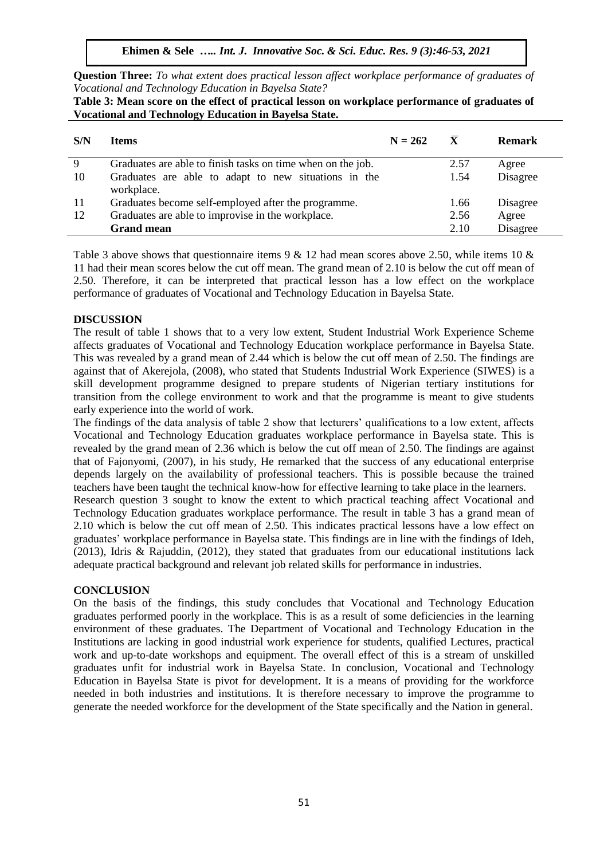**Question Three:** *To what extent does practical lesson affect workplace performance of graduates of Vocational and Technology Education in Bayelsa State?*

| S/N | <b>Items</b>                                                       | $N = 262$ | $\mathbf{X}$ | Remark   |
|-----|--------------------------------------------------------------------|-----------|--------------|----------|
| 9   | Graduates are able to finish tasks on time when on the job.        |           | 2.57         | Agree    |
| 10  | Graduates are able to adapt to new situations in the<br>workplace. |           | 1.54         | Disagree |
| 11  | Graduates become self-employed after the programme.                |           | 1.66         | Disagree |
| 12  | Graduates are able to improvise in the workplace.                  |           | 2.56         | Agree    |
|     | <b>Grand mean</b>                                                  |           | 2.10         | Disagree |

**Table 3: Mean score on the effect of practical lesson on workplace performance of graduates of Vocational and Technology Education in Bayelsa State.**

Table 3 above shows that questionnaire items 9  $\&$  12 had mean scores above 2.50, while items 10  $\&$ 11 had their mean scores below the cut off mean. The grand mean of 2.10 is below the cut off mean of 2.50. Therefore, it can be interpreted that practical lesson has a low effect on the workplace performance of graduates of Vocational and Technology Education in Bayelsa State.

#### **DISCUSSION**

The result of table 1 shows that to a very low extent, Student Industrial Work Experience Scheme affects graduates of Vocational and Technology Education workplace performance in Bayelsa State. This was revealed by a grand mean of 2.44 which is below the cut off mean of 2.50. The findings are against that of Akerejola, (2008), who stated that Students Industrial Work Experience (SIWES) is a skill development programme designed to prepare students of Nigerian tertiary institutions for transition from the college environment to work and that the programme is meant to give students early experience into the world of work.

The findings of the data analysis of table 2 show that lecturers' qualifications to a low extent, affects Vocational and Technology Education graduates workplace performance in Bayelsa state. This is revealed by the grand mean of 2.36 which is below the cut off mean of 2.50. The findings are against that of Fajonyomi, (2007), in his study, He remarked that the success of any educational enterprise depends largely on the availability of professional teachers. This is possible because the trained teachers have been taught the technical know-how for effective learning to take place in the learners.

Research question 3 sought to know the extent to which practical teaching affect Vocational and Technology Education graduates workplace performance. The result in table 3 has a grand mean of 2.10 which is below the cut off mean of 2.50. This indicates practical lessons have a low effect on graduates' workplace performance in Bayelsa state. This findings are in line with the findings of Ideh, (2013), Idris & Rajuddin, (2012), they stated that graduates from our educational institutions lack adequate practical background and relevant job related skills for performance in industries.

#### **CONCLUSION**

On the basis of the findings, this study concludes that Vocational and Technology Education graduates performed poorly in the workplace. This is as a result of some deficiencies in the learning environment of these graduates. The Department of Vocational and Technology Education in the Institutions are lacking in good industrial work experience for students, qualified Lectures, practical work and up-to-date workshops and equipment. The overall effect of this is a stream of unskilled graduates unfit for industrial work in Bayelsa State. In conclusion, Vocational and Technology Education in Bayelsa State is pivot for development. It is a means of providing for the workforce needed in both industries and institutions. It is therefore necessary to improve the programme to generate the needed workforce for the development of the State specifically and the Nation in general.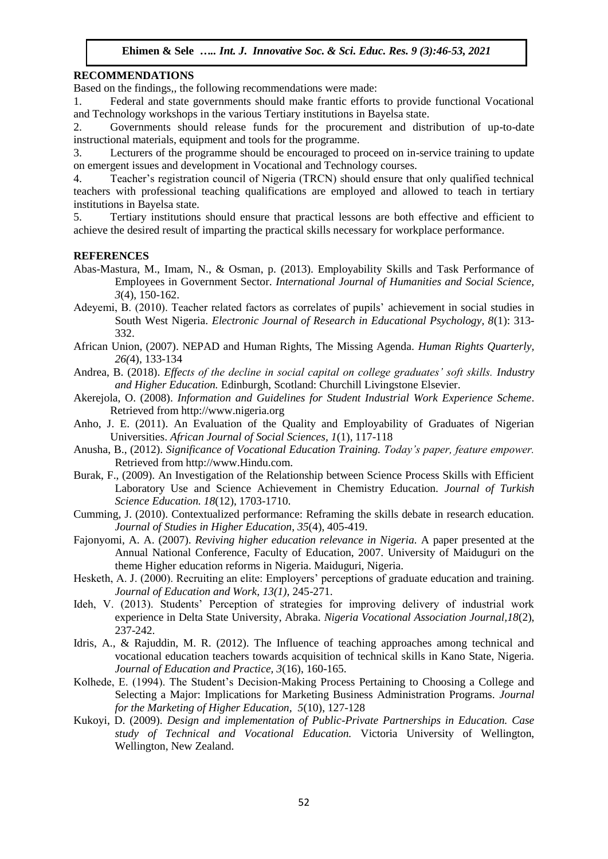#### **RECOMMENDATIONS**

Based on the findings,, the following recommendations were made:

1. Federal and state governments should make frantic efforts to provide functional Vocational and Technology workshops in the various Tertiary institutions in Bayelsa state.

2. Governments should release funds for the procurement and distribution of up-to-date instructional materials, equipment and tools for the programme.

3. Lecturers of the programme should be encouraged to proceed on in-service training to update on emergent issues and development in Vocational and Technology courses.

4. Teacher's registration council of Nigeria (TRCN) should ensure that only qualified technical teachers with professional teaching qualifications are employed and allowed to teach in tertiary institutions in Bayelsa state.

5. Tertiary institutions should ensure that practical lessons are both effective and efficient to achieve the desired result of imparting the practical skills necessary for workplace performance.

#### **REFERENCES**

- Abas-Mastura, M., Imam, N., & Osman, p. (2013). Employability Skills and Task Performance of Employees in Government Sector. *International Journal of Humanities and Social Science, 3*(4), 150-162.
- Adeyemi, B. (2010). Teacher related factors as correlates of pupils' achievement in social studies in South West Nigeria. *Electronic Journal of Research in Educational Psychology, 8*(1): 313- 332.
- African Union, (2007). NEPAD and Human Rights, The Missing Agenda. *Human Rights Quarterly, 26(*4), 133-134
- Andrea, B. (2018). *Effects of the decline in social capital on college graduates' soft skills. Industry and Higher Education.* Edinburgh, Scotland: Churchill Livingstone Elsevier.
- Akerejola, O. (2008). *Information and Guidelines for Student Industrial Work Experience Scheme*. Retrieved from http://www.nigeria.org
- Anho, J. E. (2011). An Evaluation of the Quality and Employability of Graduates of Nigerian Universities. *African Journal of Social Sciences, 1*(1), 117-118
- Anusha, B., (2012). *Significance of Vocational Education Training. Today's paper, feature empower.* Retrieved from http://www.Hindu.com.
- Burak, F., (2009). An Investigation of the Relationship between Science Process Skills with Efficient Laboratory Use and Science Achievement in Chemistry Education*. Journal of Turkish Science Education. 18*(12), 1703-1710.
- Cumming, J. (2010). Contextualized performance: Reframing the skills debate in research education. *Journal of Studies in Higher Education*, *35*(4), 405-419.
- Fajonyomi, A. A. (2007). *Reviving higher education relevance in Nigeria.* A paper presented at the Annual National Conference, Faculty of Education, 2007. University of Maiduguri on the theme Higher education reforms in Nigeria. Maiduguri, Nigeria.
- Hesketh, A. J. (2000). Recruiting an elite: Employers' perceptions of graduate education and training. *Journal of Education and Work, 13(1),* 245-271.
- Ideh, V. (2013). Students' Perception of strategies for improving delivery of industrial work experience in Delta State University, Abraka. *Nigeria Vocational Association Journal,18*(2), 237-242.
- Idris, A., & Rajuddin, M. R. (2012). The Influence of teaching approaches among technical and vocational education teachers towards acquisition of technical skills in Kano State, Nigeria. *Journal of Education and Practice, 3*(16), 160-165.
- Kolhede, E. (1994). The Student's Decision-Making Process Pertaining to Choosing a College and Selecting a Major: Implications for Marketing Business Administration Programs. *Journal for the Marketing of Higher Education, 5*(10), 127-128
- Kukoyi, D. (2009). *Design and implementation of Public-Private Partnerships in Education. Case study of Technical and Vocational Education.* Victoria University of Wellington, Wellington, New Zealand.